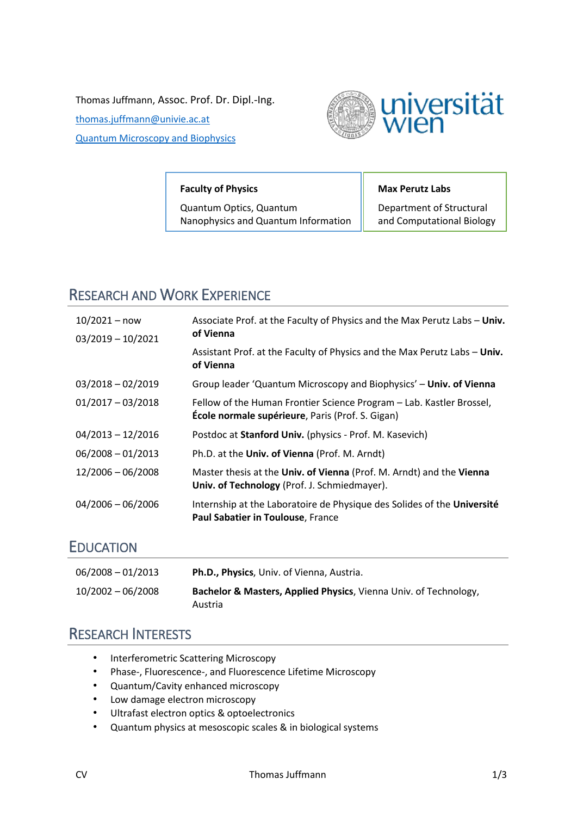Thomas Juffmann, Assoc. Prof. Dr. Dipl.-Ing.

[thomas.juffmann@univie.ac.at](mailto:thomas.juffmann@univie.ac.at) [Quantum Microscopy and Biophysics](https://imaging.univie.ac.at/)



#### **Faculty of Physics**

Quantum Optics, Quantum Nanophysics and Quantum Information

#### **Max Perutz Labs**

Department of Structural and Computational Biology

# RESEARCH AND WORK EXPERIENCE

| $10/2021 - now$     | Associate Prof. at the Faculty of Physics and the Max Perutz Labs - Univ.<br>of Vienna                                   |
|---------------------|--------------------------------------------------------------------------------------------------------------------------|
| $03/2019 - 10/2021$ | Assistant Prof. at the Faculty of Physics and the Max Perutz Labs - Univ.                                                |
|                     | of Vienna                                                                                                                |
| $03/2018 - 02/2019$ | Group leader 'Quantum Microscopy and Biophysics' - Univ. of Vienna                                                       |
| $01/2017 - 03/2018$ | Fellow of the Human Frontier Science Program – Lab. Kastler Brossel,<br>École normale supérieure, Paris (Prof. S. Gigan) |
| $04/2013 - 12/2016$ | Postdoc at Stanford Univ. (physics - Prof. M. Kasevich)                                                                  |
| $06/2008 - 01/2013$ | Ph.D. at the Univ. of Vienna (Prof. M. Arndt)                                                                            |
| $12/2006 - 06/2008$ | Master thesis at the Univ. of Vienna (Prof. M. Arndt) and the Vienna<br>Univ. of Technology (Prof. J. Schmiedmayer).     |
| $04/2006 - 06/2006$ | Internship at the Laboratoire de Physique des Solides of the Université<br>Paul Sabatier in Toulouse, France             |

### EDUCATION

| 06/2008 - 01/2013   | <b>Ph.D., Physics</b> , Univ. of Vienna, Austria.                                      |
|---------------------|----------------------------------------------------------------------------------------|
| $10/2002 - 06/2008$ | <b>Bachelor &amp; Masters, Applied Physics, Vienna Univ. of Technology,</b><br>Austria |

## RESEARCH INTERESTS

- Interferometric Scattering Microscopy
- Phase-, Fluorescence-, and Fluorescence Lifetime Microscopy
- Quantum/Cavity enhanced microscopy
- Low damage electron microscopy
- Ultrafast electron optics & optoelectronics
- Quantum physics at mesoscopic scales & in biological systems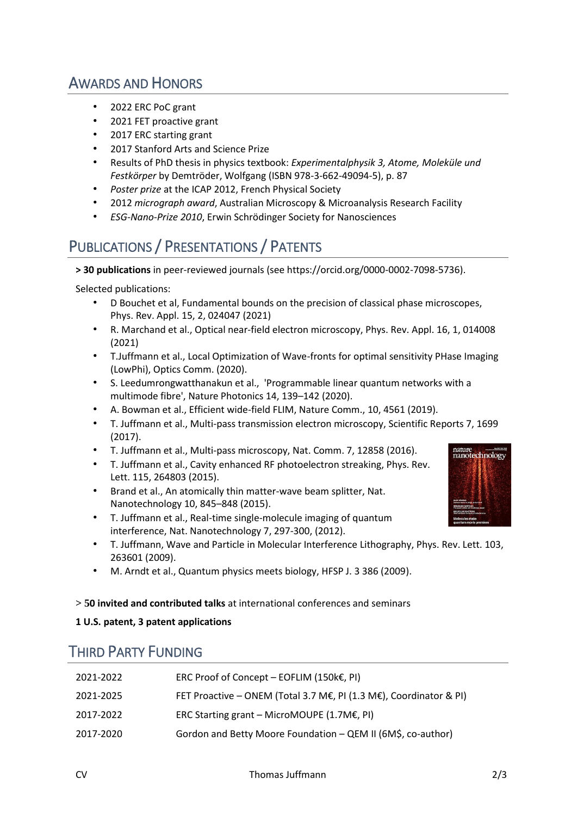# AWARDS AND HONORS

- 2022 ERC PoC grant
- 2021 FET proactive grant
- 2017 ERC starting grant
- 2017 Stanford Arts and Science Prize
- Results of PhD thesis in physics textbook: *Experimentalphysik 3, Atome, Moleküle und Festkörper* by Demtröder, Wolfgang (ISBN 978-3-662-49094-5), p. 87
- *Poster prize* at the ICAP 2012, French Physical Society
- 2012 *micrograph award*, Australian Microscopy & Microanalysis Research Facility
- *ESG-Nano-Prize 2010*, Erwin Schrödinger Society for Nanosciences

# PUBLICATIONS / PRESENTATIONS / PATENTS

**> 30 publications** in peer-reviewed journals (see https://orcid.org/0000-0002-7098-5736).

Selected publications:

- D Bouchet et al[, Fundamental bounds on the precision of classical phase microscopes,](https://scholar.google.com/scholar?oi=bibs&cluster=2269722500848920198&btnI=1&hl=en) Phys. Rev. Appl. 15, 2, 024047 (2021)
- R. Marchand et al., Optical near-field electron microscopy, Phys. Rev. Appl. 16, 1, 014008 (2021)
- T.Juffmann et al., Local Optimization of Wave-fronts for optimal sensitivity PHase Imaging (LowPhi), Optics Comm. (2020).
- S. Leedumrongwatthanakun et al., 'Programmable linear quantum networks with a multimode fibre', Nature Photonics 14, 139–142 (2020).
- A. Bowman et al., Efficient wide-field FLIM, Nature Comm., 10, 4561 (2019).
- T. Juffmann et al., Multi-pass transmission electron microscopy, Scientific Reports 7, 1699 (2017).
- T. Juffmann et al., Multi-pass microscopy, Nat. Comm. 7, 12858 (2016).
- T. Juffmann et al., Cavity enhanced RF photoelectron streaking, Phys. Rev. Lett. 115, 264803 (2015).
- Brand et al., An atomically thin matter-wave beam splitter, Nat. Nanotechnology 10, 845–848 (2015).
- T. Juffmann et al., Real-time single-molecule imaging of quantum interference, Nat. Nanotechnology 7, 297-300, (2012).
- T. Juffmann, Wave and Particle in Molecular Interference Lithography, Phys. Rev. Lett. 103, 263601 (2009).
- M. Arndt et al., Quantum physics meets biology, HFSP J. 3 386 (2009).

#### **> 50 invited and contributed talks** at international conferences and seminars

#### **1 U.S. patent, 3 patent applications**

### THIRD PARTY FUNDING

| 2021-2022 | ERC Proof of Concept - EOFLIM (150 $k \in$ , PI)                   |
|-----------|--------------------------------------------------------------------|
| 2021-2025 | FET Proactive - ONEM (Total 3.7 M€, PI (1.3 M€), Coordinator & PI) |
| 2017-2022 | ERC Starting grant – MicroMOUPE $(1.7M\epsilon, Pl)$               |
| 2017-2020 | Gordon and Betty Moore Foundation - QEM II (6M\$, co-author)       |